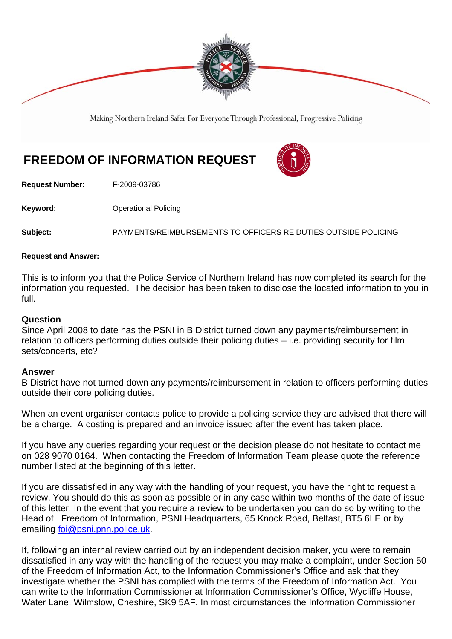

Making Northern Ireland Safer For Everyone Through Professional, Progressive Policing

## **FREEDOM OF INFORMATION REQUEST**



**Request Number:** F-2009-03786

**Keyword: Conservery Operational Policing** 

**Subject:** PAYMENTS/REIMBURSEMENTS TO OFFICERS RE DUTIES OUTSIDE POLICING

## **Request and Answer:**

This is to inform you that the Police Service of Northern Ireland has now completed its search for the information you requested. The decision has been taken to disclose the located information to you in full.

## **Question**

Since April 2008 to date has the PSNI in B District turned down any payments/reimbursement in relation to officers performing duties outside their policing duties – i.e. providing security for film sets/concerts, etc?

## **Answer**

B District have not turned down any payments/reimbursement in relation to officers performing duties outside their core policing duties.

When an event organiser contacts police to provide a policing service they are advised that there will be a charge. A costing is prepared and an invoice issued after the event has taken place.

If you have any queries regarding your request or the decision please do not hesitate to contact me on 028 9070 0164. When contacting the Freedom of Information Team please quote the reference number listed at the beginning of this letter.

If you are dissatisfied in any way with the handling of your request, you have the right to request a review. You should do this as soon as possible or in any case within two months of the date of issue of this letter. In the event that you require a review to be undertaken you can do so by writing to the Head of Freedom of Information, PSNI Headquarters, 65 Knock Road, Belfast, BT5 6LE or by emailing foi@psni.pnn.police.uk.

If, following an internal review carried out by an independent decision maker, you were to remain dissatisfied in any way with the handling of the request you may make a complaint, under Section 50 of the Freedom of Information Act, to the Information Commissioner's Office and ask that they investigate whether the PSNI has complied with the terms of the Freedom of Information Act. You can write to the Information Commissioner at Information Commissioner's Office, Wycliffe House, Water Lane, Wilmslow, Cheshire, SK9 5AF. In most circumstances the Information Commissioner